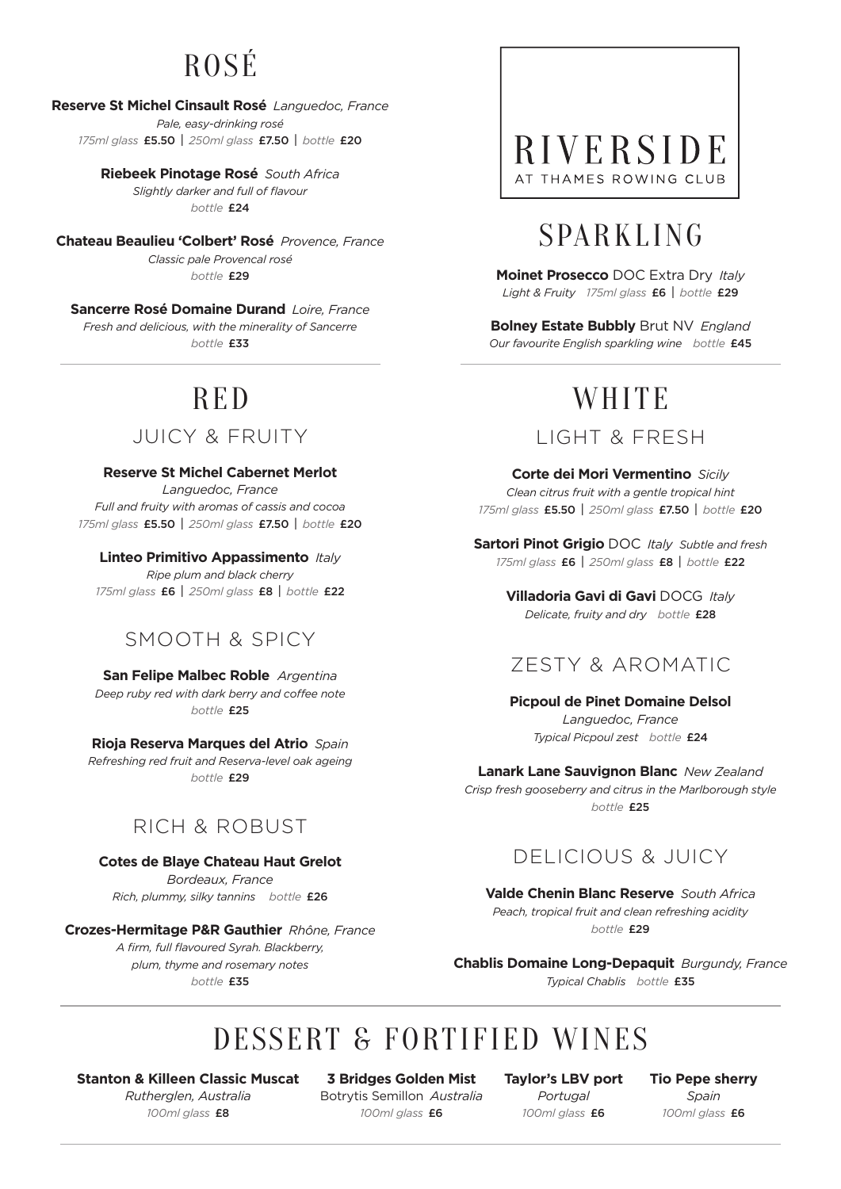### ROSÉ

#### **Reserve St Michel Cinsault Rosé** *Languedoc, France Pale, easy-drinking rosé*

*175ml glass* £5.50 | *250ml glass* £7.50 | *bottle* £20

**Riebeek Pinotage Rosé** *South Africa Slightly darker and full of flavour bottle* £24

**Chateau Beaulieu 'Colbert' Rosé** *Provence, France Classic pale Provencal rosé bottle* £29

**Sancerre Rosé Domaine Durand** *Loire, France Fresh and delicious, with the minerality of Sancerre bottle* £33

## RED

JUICY & FRUITY

**Reserve St Michel Cabernet Merlot**

*Languedoc, France Full and fruity with aromas of cassis and cocoa 175ml glass* £5.50 | *250ml glass* £7.50 | *bottle* £20

**Linteo Primitivo Appassimento** *Italy*

*Ripe plum and black cherry 175ml glass* £6 | *250ml glass* £8 | *bottle* £22

#### SMOOTH & SPICY

**San Felipe Malbec Roble** *Argentina Deep ruby red with dark berry and coffee note bottle* £25

**Rioja Reserva Marques del Atrio** *Spain Refreshing red fruit and Reserva-level oak ageing bottle* £29

#### RICH & ROBUST

**Cotes de Blaye Chateau Haut Grelot** *Bordeaux, France*

*Rich, plummy, silky tannins bottle* £26

**Crozes-Hermitage P&R Gauthier** *Rhône, France A firm, full flavoured Syrah. Blackberry, plum, thyme and rosemary notes*

*bottle* £35

#### RIVERSIDE AT THAMES ROWING CLUB

### SPARKLING

**Moinet Prosecco** DOC Extra Dry *Italy Light & Fruity 175ml glass* £6 | *bottle* £29

**Bolney Estate Bubbly** Brut NV *England Our favourite English sparkling wine bottle* £45

### **WHITE**

#### LIGHT & FRESH

**Corte dei Mori Vermentino** *Sicily Clean citrus fruit with a gentle tropical hint 175ml glass* £5.50 | *250ml glass* £7.50 | *bottle* £20

**Sartori Pinot Grigio** DOC *Italy Subtle and fresh 175ml glass* £6 | *250ml glass* £8 | *bottle* £22

> **Villadoria Gavi di Gavi** DOCG *Italy Delicate, fruity and dry bottle* £28

#### ZESTY & AROMATIC

**Picpoul de Pinet Domaine Delsol** *Languedoc, France Typical Picpoul zest bottle* £24

**Lanark Lane Sauvignon Blanc** *New Zealand Crisp fresh gooseberry and citrus in the Marlborough style bottle* £25

#### DELICIOUS & JUICY

**Valde Chenin Blanc Reserve** *South Africa Peach, tropical fruit and clean refreshing acidity bottle* £29

**Chablis Domaine Long-Depaquit** *Burgundy, France Typical Chablis bottle* £35

### DESSERT & FORTIFIED WINES

**Stanton & Killeen Classic Muscat** *Rutherglen, Australia 100ml glass* £8

**3 Bridges Golden Mist** Botrytis Semillon *Australia 100ml glass* £6

**Taylor's LBV port** *Portugal 100ml glass* £6

**Tio Pepe sherry** *Spain 100ml glass* £6